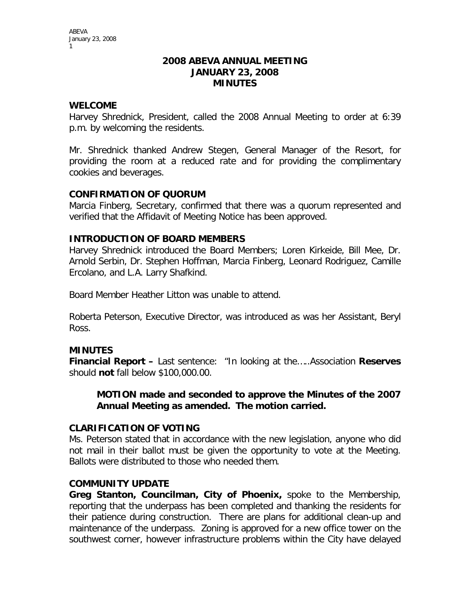#### **2008 ABEVA ANNUAL MEETING JANUARY 23, 2008 MINUTES**

# **WELCOME**

Harvey Shrednick, President, called the 2008 Annual Meeting to order at 6:39 p.m. by welcoming the residents.

Mr. Shrednick thanked Andrew Stegen, General Manager of the Resort, for providing the room at a reduced rate and for providing the complimentary cookies and beverages.

# **CONFIRMATION OF QUORUM**

Marcia Finberg, Secretary, confirmed that there was a quorum represented and verified that the Affidavit of Meeting Notice has been approved.

# **INTRODUCTION OF BOARD MEMBERS**

Harvey Shrednick introduced the Board Members; Loren Kirkeide, Bill Mee, Dr. Arnold Serbin, Dr. Stephen Hoffman, Marcia Finberg, Leonard Rodriguez, Camille Ercolano, and L.A. Larry Shafkind.

Board Member Heather Litton was unable to attend.

Roberta Peterson, Executive Director, was introduced as was her Assistant, Beryl Ross.

### **MINUTES**

**Financial Report –** Last sentence: "In looking at the…..Association **Reserves**  should **not** fall below \$100,000.00.

# **MOTION made and seconded to approve the Minutes of the 2007 Annual Meeting as amended. The motion carried.**

### **CLARIFICATION OF VOTING**

Ms. Peterson stated that in accordance with the new legislation, anyone who did not mail in their ballot must be given the opportunity to vote at the Meeting. Ballots were distributed to those who needed them.

### **COMMUNITY UPDATE**

**Greg Stanton, Councilman, City of Phoenix,** spoke to the Membership, reporting that the underpass has been completed and thanking the residents for their patience during construction. There are plans for additional clean-up and maintenance of the underpass. Zoning is approved for a new office tower on the southwest corner, however infrastructure problems within the City have delayed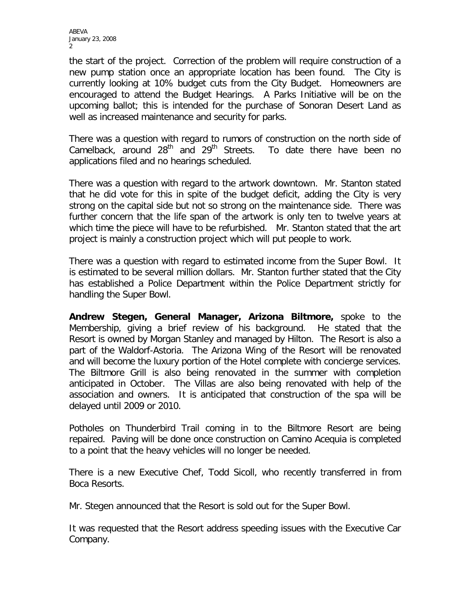ABEVA January 23, 2008  $\mathfrak{p}$ 

the start of the project. Correction of the problem will require construction of a new pump station once an appropriate location has been found. The City is currently looking at 10% budget cuts from the City Budget. Homeowners are encouraged to attend the Budget Hearings. A Parks Initiative will be on the upcoming ballot; this is intended for the purchase of Sonoran Desert Land as well as increased maintenance and security for parks.

There was a question with regard to rumors of construction on the north side of Camelback, around  $28<sup>th</sup>$  and  $29<sup>th</sup>$  Streets. To date there have been no applications filed and no hearings scheduled.

There was a question with regard to the artwork downtown. Mr. Stanton stated that he did vote for this in spite of the budget deficit, adding the City is very strong on the capital side but not so strong on the maintenance side. There was further concern that the life span of the artwork is only ten to twelve years at which time the piece will have to be refurbished. Mr. Stanton stated that the art project is mainly a construction project which will put people to work.

There was a question with regard to estimated income from the Super Bowl. It is estimated to be several million dollars. Mr. Stanton further stated that the City has established a Police Department within the Police Department strictly for handling the Super Bowl.

**Andrew Stegen, General Manager, Arizona Biltmore,** spoke to the Membership, giving a brief review of his background. He stated that the Resort is owned by Morgan Stanley and managed by Hilton. The Resort is also a part of the Waldorf-Astoria. The Arizona Wing of the Resort will be renovated and will become the luxury portion of the Hotel complete with concierge services. The Biltmore Grill is also being renovated in the summer with completion anticipated in October. The Villas are also being renovated with help of the association and owners. It is anticipated that construction of the spa will be delayed until 2009 or 2010.

Potholes on Thunderbird Trail coming in to the Biltmore Resort are being repaired. Paving will be done once construction on Camino Acequia is completed to a point that the heavy vehicles will no longer be needed.

There is a new Executive Chef, Todd Sicoll, who recently transferred in from Boca Resorts.

Mr. Stegen announced that the Resort is sold out for the Super Bowl.

It was requested that the Resort address speeding issues with the Executive Car Company.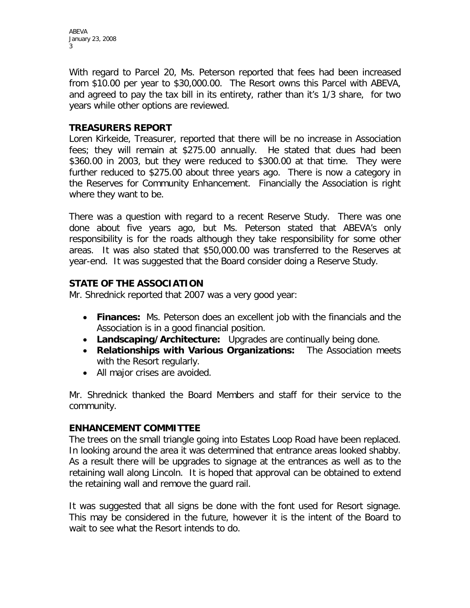ABEVA January 23, 2008 3

With regard to Parcel 20, Ms. Peterson reported that fees had been increased from \$10.00 per year to \$30,000.00. The Resort owns this Parcel with ABEVA, and agreed to pay the tax bill in its entirety, rather than it's 1/3 share, for two years while other options are reviewed.

# **TREASURERS REPORT**

Loren Kirkeide, Treasurer, reported that there will be no increase in Association fees; they will remain at \$275.00 annually. He stated that dues had been \$360.00 in 2003, but they were reduced to \$300.00 at that time. They were further reduced to \$275.00 about three years ago. There is now a category in the Reserves for Community Enhancement. Financially the Association is right where they want to be.

There was a question with regard to a recent Reserve Study. There was one done about five years ago, but Ms. Peterson stated that ABEVA's only responsibility is for the roads although they take responsibility for some other areas. It was also stated that \$50,000.00 was transferred to the Reserves at year-end. It was suggested that the Board consider doing a Reserve Study.

# **STATE OF THE ASSOCIATION**

Mr. Shrednick reported that 2007 was a very good year:

- **Finances:** Ms. Peterson does an excellent job with the financials and the Association is in a good financial position.
- **Landscaping/Architecture:** Upgrades are continually being done.
- **Relationships with Various Organizations:** The Association meets with the Resort regularly.
- All major crises are avoided.

Mr. Shrednick thanked the Board Members and staff for their service to the community.

### **ENHANCEMENT COMMITTEE**

The trees on the small triangle going into Estates Loop Road have been replaced. In looking around the area it was determined that entrance areas looked shabby. As a result there will be upgrades to signage at the entrances as well as to the retaining wall along Lincoln. It is hoped that approval can be obtained to extend the retaining wall and remove the guard rail.

It was suggested that all signs be done with the font used for Resort signage. This may be considered in the future, however it is the intent of the Board to wait to see what the Resort intends to do.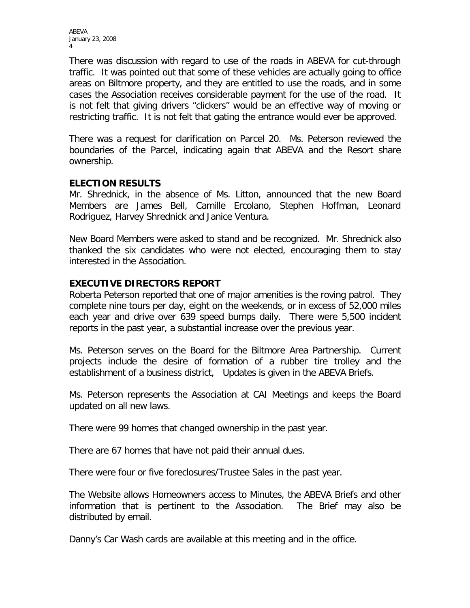ABEVA January 23, 2008 4

There was discussion with regard to use of the roads in ABEVA for cut-through traffic. It was pointed out that some of these vehicles are actually going to office areas on Biltmore property, and they are entitled to use the roads, and in some cases the Association receives considerable payment for the use of the road. It is not felt that giving drivers "clickers" would be an effective way of moving or restricting traffic. It is not felt that gating the entrance would ever be approved.

There was a request for clarification on Parcel 20. Ms. Peterson reviewed the boundaries of the Parcel, indicating again that ABEVA and the Resort share ownership.

#### **ELECTION RESULTS**

Mr. Shrednick, in the absence of Ms. Litton, announced that the new Board Members are James Bell, Camille Ercolano, Stephen Hoffman, Leonard Rodriguez, Harvey Shrednick and Janice Ventura.

New Board Members were asked to stand and be recognized. Mr. Shrednick also thanked the six candidates who were not elected, encouraging them to stay interested in the Association.

### **EXECUTIVE DIRECTORS REPORT**

Roberta Peterson reported that one of major amenities is the roving patrol. They complete nine tours per day, eight on the weekends, or in excess of 52,000 miles each year and drive over 639 speed bumps daily. There were 5,500 incident reports in the past year, a substantial increase over the previous year.

Ms. Peterson serves on the Board for the Biltmore Area Partnership. Current projects include the desire of formation of a rubber tire trolley and the establishment of a business district, Updates is given in the ABEVA Briefs.

Ms. Peterson represents the Association at CAI Meetings and keeps the Board updated on all new laws.

There were 99 homes that changed ownership in the past year.

There are 67 homes that have not paid their annual dues.

There were four or five foreclosures/Trustee Sales in the past year.

The Website allows Homeowners access to Minutes, the ABEVA Briefs and other information that is pertinent to the Association. The Brief may also be distributed by email.

Danny's Car Wash cards are available at this meeting and in the office.